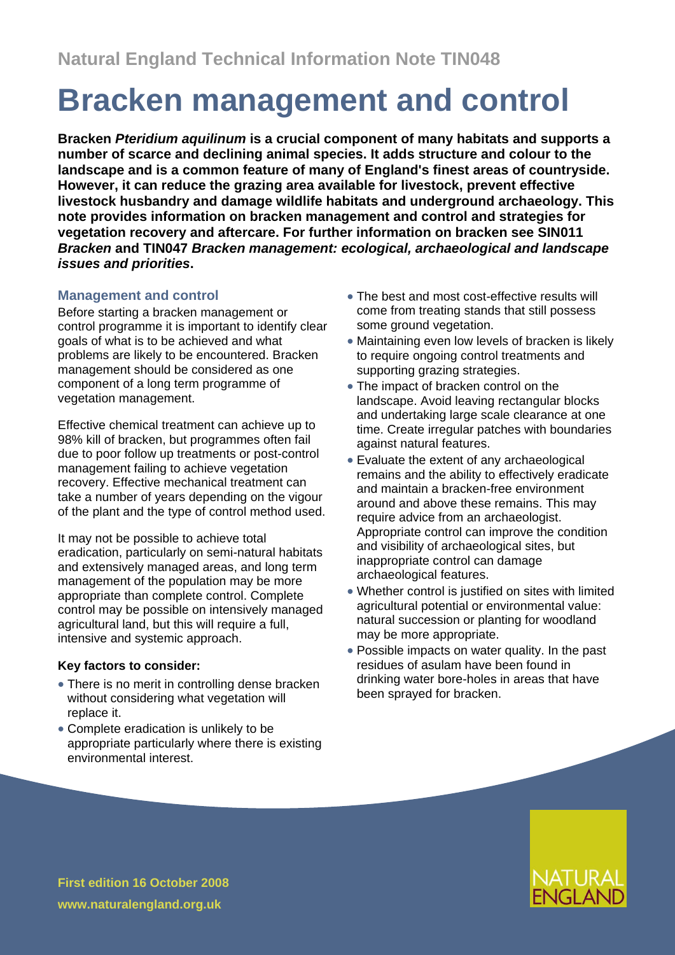# **Bracken management and control**

**Bracken** *Pteridium aquilinum* **is a crucial component of many habitats and supports a number of scarce and declining animal species. It adds structure and colour to the landscape and is a common feature of many of England's finest areas of countryside. However, it can reduce the grazing area available for livestock, prevent effective livestock husbandry and damage wildlife habitats and underground archaeology. This note provides information on bracken management and control and strategies for vegetation recovery and aftercare. For further information on bracken see SIN011** *Bracken* **and TIN047** *Bracken management: ecological, archaeological and landscape issues and priorities***.**

# **Management and control**

Before starting a bracken management or control programme it is important to identify clear goals of what is to be achieved and what problems are likely to be encountered. Bracken management should be considered as one component of a long term programme of vegetation management.

Effective chemical treatment can achieve up to 98% kill of bracken, but programmes often fail due to poor follow up treatments or post-control management failing to achieve vegetation recovery. Effective mechanical treatment can take a number of years depending on the vigour of the plant and the type of control method used.

It may not be possible to achieve total eradication, particularly on semi-natural habitats and extensively managed areas, and long term management of the population may be more appropriate than complete control. Complete control may be possible on intensively managed agricultural land, but this will require a full, intensive and systemic approach.

## **Key factors to consider:**

- There is no merit in controlling dense bracken without considering what vegetation will replace it.
- Complete eradication is unlikely to be appropriate particularly where there is existing environmental interest.
- The best and most cost-effective results will come from treating stands that still possess some ground vegetation.
- Maintaining even low levels of bracken is likely to require ongoing control treatments and supporting grazing strategies.
- The impact of bracken control on the landscape. Avoid leaving rectangular blocks and undertaking large scale clearance at one time. Create irregular patches with boundaries against natural features.
- Evaluate the extent of any archaeological remains and the ability to effectively eradicate and maintain a bracken-free environment around and above these remains. This may require advice from an archaeologist. Appropriate control can improve the condition and visibility of archaeological sites, but inappropriate control can damage archaeological features.
- Whether control is justified on sites with limited agricultural potential or environmental value: natural succession or planting for woodland may be more appropriate.
- Possible impacts on water quality. In the past residues of asulam have been found in drinking water bore-holes in areas that have been sprayed for bracken.

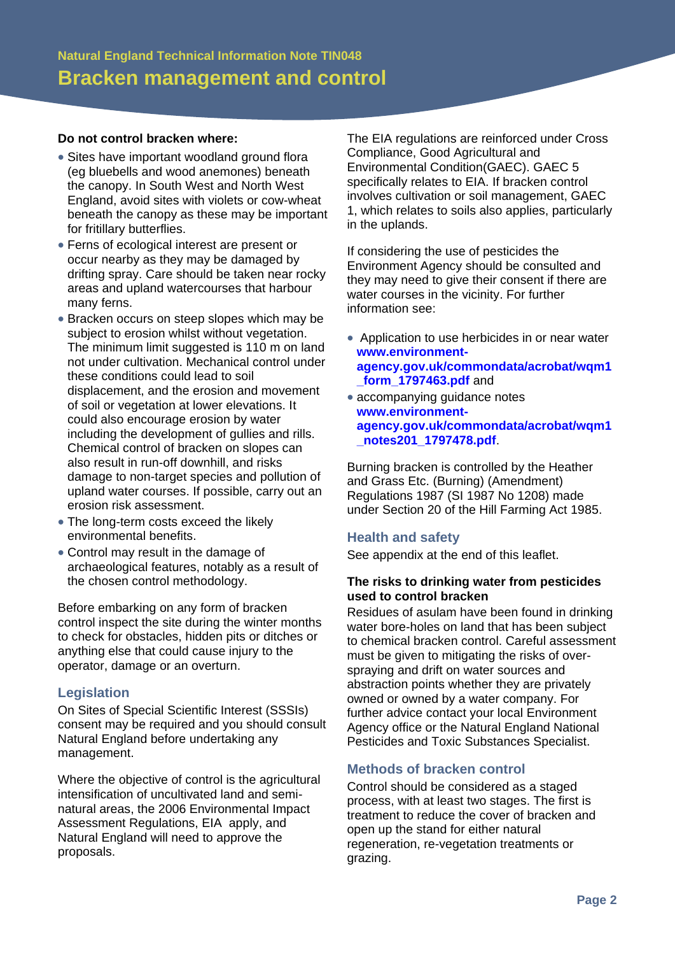#### **Do not control bracken where:**

- Sites have important woodland ground flora (eg bluebells and wood anemones) beneath the canopy. In South West and North West England, avoid sites with violets or cow-wheat beneath the canopy as these may be important for fritillary butterflies.
- Ferns of ecological interest are present or occur nearby as they may be damaged by drifting spray. Care should be taken near rocky areas and upland watercourses that harbour many ferns.
- Bracken occurs on steep slopes which may be subject to erosion whilst without vegetation. The minimum limit suggested is 110 m on land not under cultivation. Mechanical control under these conditions could lead to soil displacement, and the erosion and movement of soil or vegetation at lower elevations. It could also encourage erosion by water including the development of gullies and rills. Chemical control of bracken on slopes can also result in run-off downhill, and risks damage to non-target species and pollution of upland water courses. If possible, carry out an erosion risk assessment.
- The long-term costs exceed the likely environmental benefits.
- Control may result in the damage of archaeological features, notably as a result of the chosen control methodology.

Before embarking on any form of bracken control inspect the site during the winter months to check for obstacles, hidden pits or ditches or anything else that could cause injury to the operator, damage or an overturn.

## **Legislation**

On Sites of Special Scientific Interest (SSSIs) consent may be required and you should consult Natural England before undertaking any management.

Where the objective of control is the agricultural intensification of uncultivated land and seminatural areas, the 2006 Environmental Impact Assessment Regulations, EIA apply, and Natural England will need to approve the proposals.

The EIA regulations are reinforced under Cross Compliance, Good Agricultural and Environmental Condition(GAEC). GAEC 5 specifically relates to EIA. If bracken control involves cultivation or soil management, GAEC 1, which relates to soils also applies, particularly in the uplands.

If considering the use of pesticides the Environment Agency should be consulted and they may need to give their consent if there are water courses in the vicinity. For further information see:

- Application to use herbicides in or near water **[www.environment](http://www.environment-agency.gov.uk/commondata/acrobat/wqm1_form_1797463.pdf)[agency.gov.uk/commondata/acrobat/wqm1](http://www.environment-agency.gov.uk/commondata/acrobat/wqm1_form_1797463.pdf) [\\_form\\_1797463.pdf](http://www.environment-agency.gov.uk/commondata/acrobat/wqm1_form_1797463.pdf)** and
- accompanying quidance notes **www.environmentagency.gov.uk/commondata/acrobat/wqm1 \_notes201\_1797478.pdf**.

Burning bracken is controlled by the Heather and Grass Etc. (Burning) (Amendment) Regulations 1987 (SI 1987 No 1208) made under Section 20 of the Hill Farming Act 1985.

## **Health and safety**

See appendix at the end of this leaflet.

#### **The risks to drinking water from pesticides used to control bracken**

Residues of asulam have been found in drinking water bore-holes on land that has been subject to chemical bracken control. Careful assessment must be given to mitigating the risks of overspraying and drift on water sources and abstraction points whether they are privately owned or owned by a water company. For further advice contact your local Environment Agency office or the Natural England National Pesticides and Toxic Substances Specialist.

## **Methods of bracken control**

Control should be considered as a staged process, with at least two stages. The first is treatment to reduce the cover of bracken and open up the stand for either natural regeneration, re-vegetation treatments or grazing.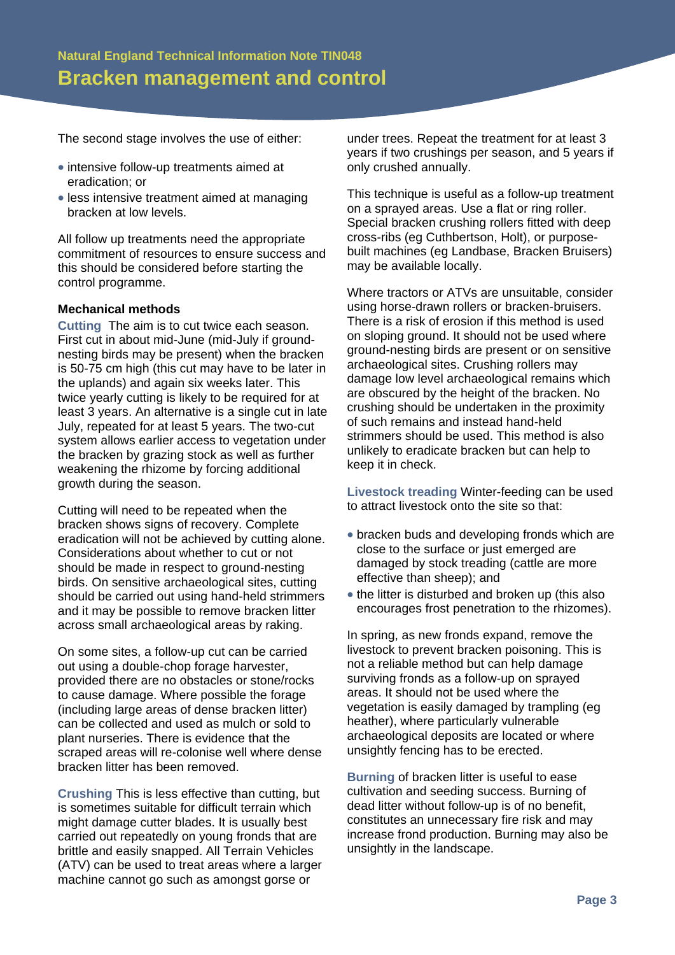The second stage involves the use of either:

- intensive follow-up treatments aimed at eradication; or
- less intensive treatment aimed at managing bracken at low levels.

All follow up treatments need the appropriate commitment of resources to ensure success and this should be considered before starting the control programme.

#### **Mechanical methods**

**Cutting** The aim is to cut twice each season. First cut in about mid-June (mid-July if groundnesting birds may be present) when the bracken is 50-75 cm high (this cut may have to be later in the uplands) and again six weeks later. This twice yearly cutting is likely to be required for at least 3 years. An alternative is a single cut in late July, repeated for at least 5 years. The two-cut system allows earlier access to vegetation under the bracken by grazing stock as well as further weakening the rhizome by forcing additional growth during the season.

Cutting will need to be repeated when the bracken shows signs of recovery. Complete eradication will not be achieved by cutting alone. Considerations about whether to cut or not should be made in respect to ground-nesting birds. On sensitive archaeological sites, cutting should be carried out using hand-held strimmers and it may be possible to remove bracken litter across small archaeological areas by raking.

On some sites, a follow-up cut can be carried out using a double-chop forage harvester, provided there are no obstacles or stone/rocks to cause damage. Where possible the forage (including large areas of dense bracken litter) can be collected and used as mulch or sold to plant nurseries. There is evidence that the scraped areas will re-colonise well where dense bracken litter has been removed.

**Crushing** This is less effective than cutting, but is sometimes suitable for difficult terrain which might damage cutter blades. It is usually best carried out repeatedly on young fronds that are brittle and easily snapped. All Terrain Vehicles (ATV) can be used to treat areas where a larger machine cannot go such as amongst gorse or

under trees. Repeat the treatment for at least 3 years if two crushings per season, and 5 years if only crushed annually.

This technique is useful as a follow-up treatment on a sprayed areas. Use a flat or ring roller. Special bracken crushing rollers fitted with deep cross-ribs (eg Cuthbertson, Holt), or purposebuilt machines (eg Landbase, Bracken Bruisers) may be available locally.

Where tractors or ATVs are unsuitable, consider using horse-drawn rollers or bracken-bruisers. There is a risk of erosion if this method is used on sloping ground. It should not be used where ground-nesting birds are present or on sensitive archaeological sites. Crushing rollers may damage low level archaeological remains which are obscured by the height of the bracken. No crushing should be undertaken in the proximity of such remains and instead hand-held strimmers should be used. This method is also unlikely to eradicate bracken but can help to keep it in check.

**Livestock treading** Winter-feeding can be used to attract livestock onto the site so that:

- bracken buds and developing fronds which are close to the surface or just emerged are damaged by stock treading (cattle are more effective than sheep); and
- the litter is disturbed and broken up (this also encourages frost penetration to the rhizomes).

In spring, as new fronds expand, remove the livestock to prevent bracken poisoning. This is not a reliable method but can help damage surviving fronds as a follow-up on sprayed areas. It should not be used where the vegetation is easily damaged by trampling (eg heather), where particularly vulnerable archaeological deposits are located or where unsightly fencing has to be erected.

**Burning** of bracken litter is useful to ease cultivation and seeding success. Burning of dead litter without follow-up is of no benefit, constitutes an unnecessary fire risk and may increase frond production. Burning may also be unsightly in the landscape.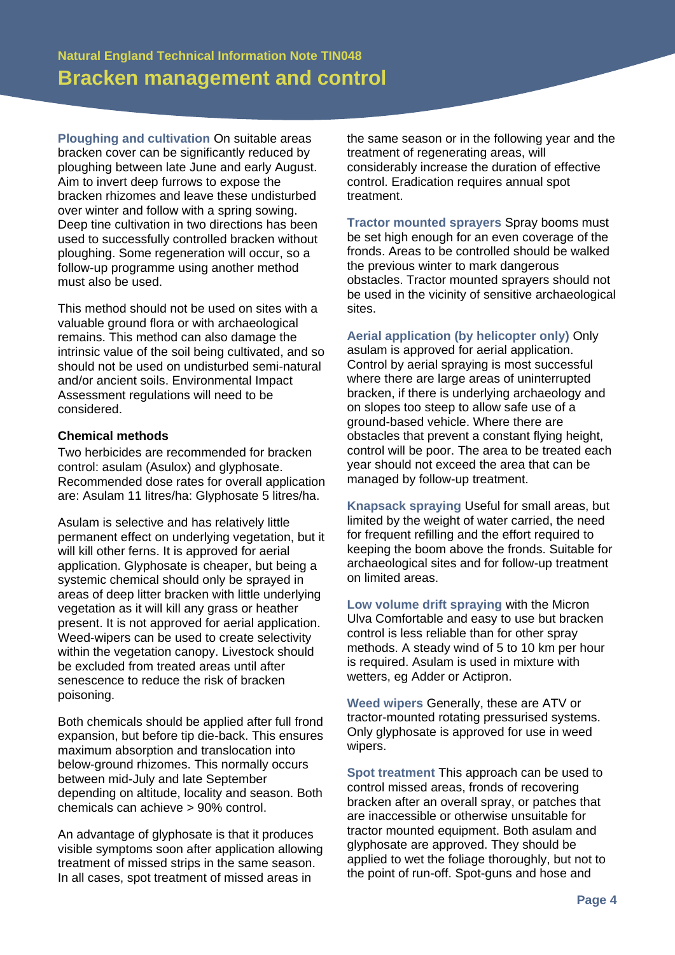**Ploughing and cultivation** On suitable areas bracken cover can be significantly reduced by ploughing between late June and early August. Aim to invert deep furrows to expose the bracken rhizomes and leave these undisturbed over winter and follow with a spring sowing. Deep tine cultivation in two directions has been used to successfully controlled bracken without ploughing. Some regeneration will occur, so a follow-up programme using another method must also be used.

This method should not be used on sites with a valuable ground flora or with archaeological remains. This method can also damage the intrinsic value of the soil being cultivated, and so should not be used on undisturbed semi-natural and/or ancient soils. Environmental Impact Assessment regulations will need to be considered.

#### **Chemical methods**

Two herbicides are recommended for bracken control: asulam (Asulox) and glyphosate. Recommended dose rates for overall application are: Asulam 11 litres/ha: Glyphosate 5 litres/ha.

Asulam is selective and has relatively little permanent effect on underlying vegetation, but it will kill other ferns. It is approved for aerial application. Glyphosate is cheaper, but being a systemic chemical should only be sprayed in areas of deep litter bracken with little underlying vegetation as it will kill any grass or heather present. It is not approved for aerial application. Weed-wipers can be used to create selectivity within the vegetation canopy. Livestock should be excluded from treated areas until after senescence to reduce the risk of bracken poisoning.

Both chemicals should be applied after full frond expansion, but before tip die-back. This ensures maximum absorption and translocation into below-ground rhizomes. This normally occurs between mid-July and late September depending on altitude, locality and season. Both chemicals can achieve > 90% control.

An advantage of glyphosate is that it produces visible symptoms soon after application allowing treatment of missed strips in the same season. In all cases, spot treatment of missed areas in

the same season or in the following year and the treatment of regenerating areas, will considerably increase the duration of effective control. Eradication requires annual spot treatment.

**Tractor mounted sprayers** Spray booms must be set high enough for an even coverage of the fronds. Areas to be controlled should be walked the previous winter to mark dangerous obstacles. Tractor mounted sprayers should not be used in the vicinity of sensitive archaeological sites.

## **Aerial application (by helicopter only)** Only

asulam is approved for aerial application. Control by aerial spraying is most successful where there are large areas of uninterrupted bracken, if there is underlying archaeology and on slopes too steep to allow safe use of a ground-based vehicle. Where there are obstacles that prevent a constant flying height, control will be poor. The area to be treated each year should not exceed the area that can be managed by follow-up treatment.

**Knapsack spraying** Useful for small areas, but limited by the weight of water carried, the need for frequent refilling and the effort required to keeping the boom above the fronds. Suitable for archaeological sites and for follow-up treatment on limited areas.

**Low volume drift spraying** with the Micron Ulva Comfortable and easy to use but bracken control is less reliable than for other spray methods. A steady wind of 5 to 10 km per hour is required. Asulam is used in mixture with wetters, eg Adder or Actipron.

**Weed wipers** Generally, these are ATV or tractor-mounted rotating pressurised systems. Only glyphosate is approved for use in weed wipers.

**Spot treatment** This approach can be used to control missed areas, fronds of recovering bracken after an overall spray, or patches that are inaccessible or otherwise unsuitable for tractor mounted equipment. Both asulam and glyphosate are approved. They should be applied to wet the foliage thoroughly, but not to the point of run-off. Spot-guns and hose and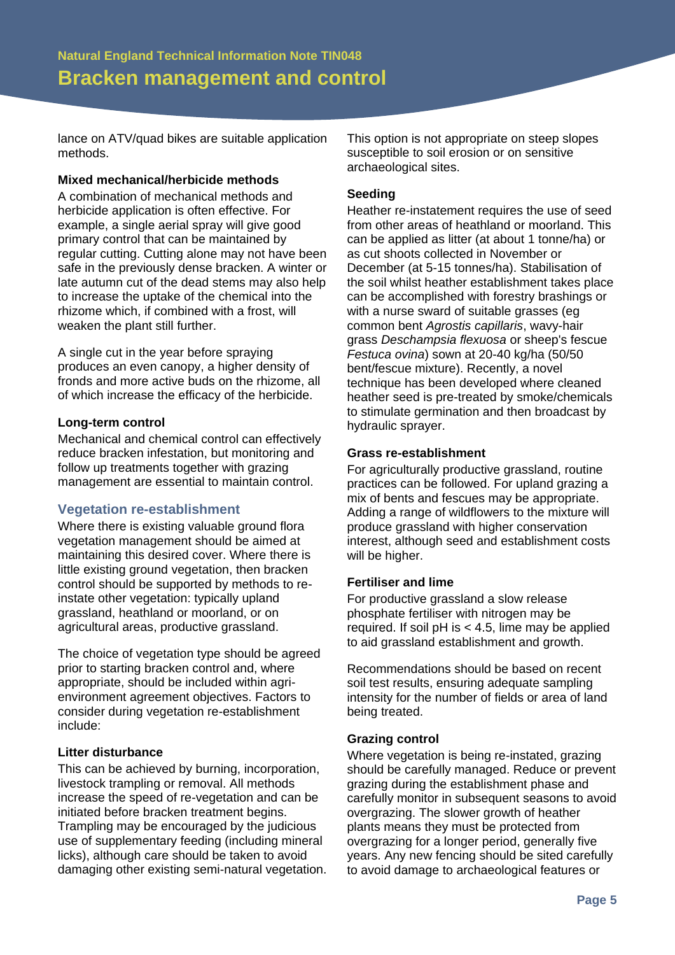lance on ATV/quad bikes are suitable application methods.

#### **Mixed mechanical/herbicide methods**

A combination of mechanical methods and herbicide application is often effective. For example, a single aerial spray will give good primary control that can be maintained by regular cutting. Cutting alone may not have been safe in the previously dense bracken. A winter or late autumn cut of the dead stems may also help to increase the uptake of the chemical into the rhizome which, if combined with a frost, will weaken the plant still further.

A single cut in the year before spraying produces an even canopy, a higher density of fronds and more active buds on the rhizome, all of which increase the efficacy of the herbicide.

#### **Long-term control**

Mechanical and chemical control can effectively reduce bracken infestation, but monitoring and follow up treatments together with grazing management are essential to maintain control.

## **Vegetation re-establishment**

Where there is existing valuable ground flora vegetation management should be aimed at maintaining this desired cover. Where there is little existing ground vegetation, then bracken control should be supported by methods to reinstate other vegetation: typically upland grassland, heathland or moorland, or on agricultural areas, productive grassland.

The choice of vegetation type should be agreed prior to starting bracken control and, where appropriate, should be included within agrienvironment agreement objectives. Factors to consider during vegetation re-establishment include:

#### **Litter disturbance**

This can be achieved by burning, incorporation, livestock trampling or removal. All methods increase the speed of re-vegetation and can be initiated before bracken treatment begins. Trampling may be encouraged by the judicious use of supplementary feeding (including mineral licks), although care should be taken to avoid damaging other existing semi-natural vegetation.

This option is not appropriate on steep slopes susceptible to soil erosion or on sensitive archaeological sites.

#### **Seeding**

Heather re-instatement requires the use of seed from other areas of heathland or moorland. This can be applied as litter (at about 1 tonne/ha) or as cut shoots collected in November or December (at 5-15 tonnes/ha). Stabilisation of the soil whilst heather establishment takes place can be accomplished with forestry brashings or with a nurse sward of suitable grasses (eg common bent *Agrostis capillaris*, wavy-hair grass *Deschampsia flexuosa* or sheep's fescue *Festuca ovina*) sown at 20-40 kg/ha (50/50 bent/fescue mixture). Recently, a novel technique has been developed where cleaned heather seed is pre-treated by smoke/chemicals to stimulate germination and then broadcast by hydraulic sprayer.

#### **Grass re-establishment**

For agriculturally productive grassland, routine practices can be followed. For upland grazing a mix of bents and fescues may be appropriate. Adding a range of wildflowers to the mixture will produce grassland with higher conservation interest, although seed and establishment costs will be higher.

#### **Fertiliser and lime**

For productive grassland a slow release phosphate fertiliser with nitrogen may be required. If soil  $pH$  is  $<$  4.5, lime may be applied to aid grassland establishment and growth.

Recommendations should be based on recent soil test results, ensuring adequate sampling intensity for the number of fields or area of land being treated.

## **Grazing control**

Where vegetation is being re-instated, grazing should be carefully managed. Reduce or prevent grazing during the establishment phase and carefully monitor in subsequent seasons to avoid overgrazing. The slower growth of heather plants means they must be protected from overgrazing for a longer period, generally five years. Any new fencing should be sited carefully to avoid damage to archaeological features or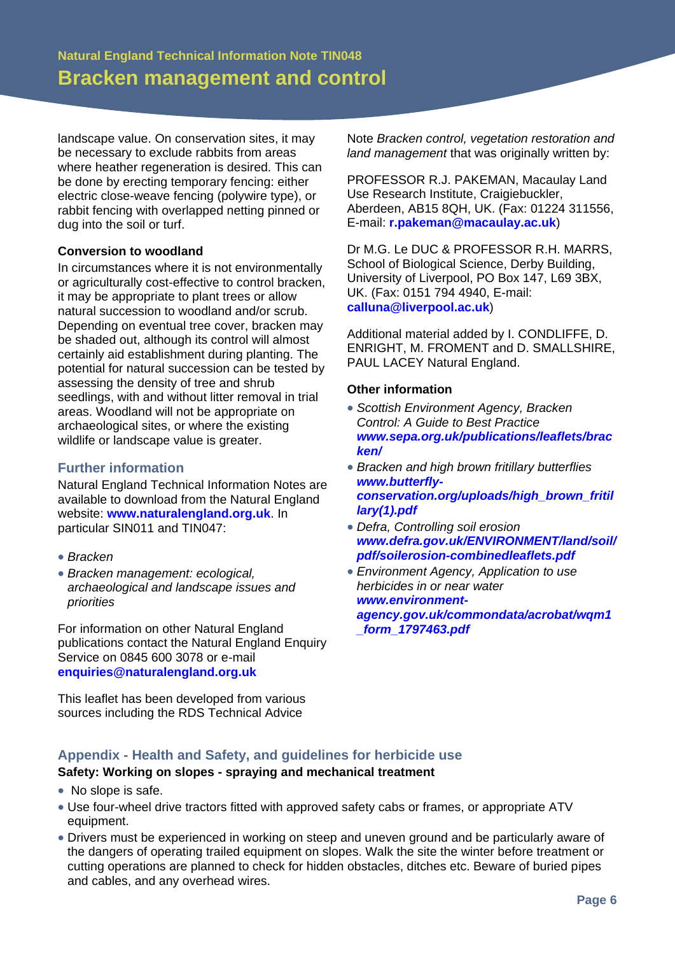landscape value. On conservation sites, it may be necessary to exclude rabbits from areas where heather regeneration is desired. This can be done by erecting temporary fencing: either electric close-weave fencing (polywire type), or rabbit fencing with overlapped netting pinned or dug into the soil or turf.

## **Conversion to woodland**

In circumstances where it is not environmentally or agriculturally cost-effective to control bracken, it may be appropriate to plant trees or allow natural succession to woodland and/or scrub. Depending on eventual tree cover, bracken may be shaded out, although its control will almost certainly aid establishment during planting. The potential for natural succession can be tested by assessing the density of tree and shrub seedlings, with and without litter removal in trial areas. Woodland will not be appropriate on archaeological sites, or where the existing wildlife or landscape value is greater.

## **Further information**

Natural England Technical Information Notes are available to download from the Natural England website: **www.naturalengland.org.uk**. In particular SIN011 and TIN047:

- *Bracken*
- *Bracken management: ecological, archaeological and landscape issues and priorities*

For information on other Natural England publications contact the Natural England Enquiry Service on 0845 600 3078 or e-mail **enquiries@naturalengland.org.uk**

This leaflet has been developed from various sources including the RDS Technical Advice

Note *Bracken control, vegetation restoration and land management* that was originally written by:

PROFESSOR R.J. PAKEMAN, Macaulay Land Use Research Institute, Craigiebuckler, Aberdeen, AB15 8QH, UK. (Fax: 01224 311556, E-mail: **r.pakeman@macaulay.ac.uk**)

Dr M.G. Le DUC & PROFESSOR R.H. MARRS, School of Biological Science, Derby Building, University of Liverpool, PO Box 147, L69 3BX, UK. (Fax: 0151 794 4940, E-mail: **calluna@liverpool.ac.uk**)

Additional material added by I. CONDLIFFE, D. ENRIGHT, M. FROMENT and D. SMALLSHIRE, PAUL LACEY Natural England.

#### **Other information**

- *Scottish Environment Agency, Bracken Control: A Guide to Best Practice www.sepa.org.uk/publications/leaflets/brac ken/*
- *Bracken and high brown fritillary butterflies www.butterflyconservation.org/uploads/high\_brown\_fritil lary(1).pdf*
- *Defra, Controlling soil erosion www.defra.gov.uk/ENVIRONMENT/land/soil/ pdf/soilerosion-combinedleaflets.pdf*
- *Environment Agency, Application to use herbicides in or near water [www.environment](http://www.environment-agency.gov.uk/commondata/acrobat/wqm1_form_1797463.pdf)[agency.gov.uk/commondata/acrobat/wqm1](http://www.environment-agency.gov.uk/commondata/acrobat/wqm1_form_1797463.pdf) [\\_form\\_1797463.pdf](http://www.environment-agency.gov.uk/commondata/acrobat/wqm1_form_1797463.pdf)*

## **Appendix - Health and Safety, and guidelines for herbicide use**

# **Safety: Working on slopes - spraying and mechanical treatment**

- No slope is safe.
- Use four-wheel drive tractors fitted with approved safety cabs or frames, or appropriate ATV equipment.
- Drivers must be experienced in working on steep and uneven ground and be particularly aware of the dangers of operating trailed equipment on slopes. Walk the site the winter before treatment or cutting operations are planned to check for hidden obstacles, ditches etc. Beware of buried pipes and cables, and any overhead wires.